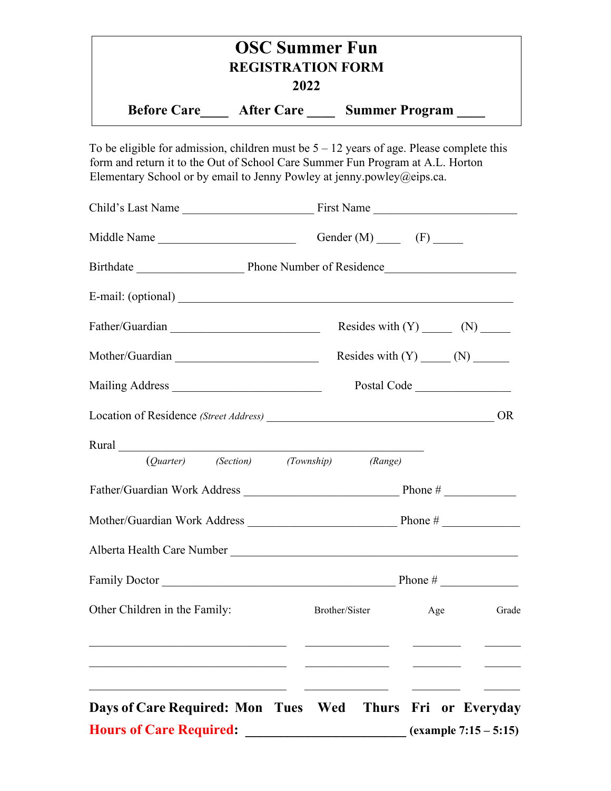|                          | <b>OSC Summer Fun</b>                                            |  |  |  |
|--------------------------|------------------------------------------------------------------|--|--|--|
| <b>REGISTRATION FORM</b> |                                                                  |  |  |  |
|                          | 2022                                                             |  |  |  |
|                          | <b>Before Care</b><br><b>Summer Program</b><br><b>After Care</b> |  |  |  |

To be eligible for admission, children must be  $5 - 12$  years of age. Please complete this form and return it to the Out of School Care Summer Fun Program at A.L. Horton Elementary School or by email to Jenny Powley at jenny.powley@eips.ca.

|                                                                                                                | Gender $(M)$ (F)   |                 |           |
|----------------------------------------------------------------------------------------------------------------|--------------------|-----------------|-----------|
|                                                                                                                |                    |                 |           |
|                                                                                                                |                    |                 |           |
|                                                                                                                |                    |                 |           |
| Mother/Guardian                                                                                                |                    |                 |           |
|                                                                                                                |                    | Postal Code     |           |
|                                                                                                                |                    |                 | <b>OR</b> |
| Rural 2008 - 2008 - 2010 - 2010 - 2010 - 2010 - 2010 - 2011 - 2011 - 2011 - 2011 - 2011 - 2011 - 2011 - 2011 - |                    |                 |           |
| (Quarter) (Section) (Township) (Range)                                                                         |                    |                 |           |
|                                                                                                                |                    |                 |           |
|                                                                                                                |                    |                 |           |
|                                                                                                                |                    |                 |           |
| Family Doctor $\qquad \qquad$ Phone #                                                                          |                    |                 |           |
| Other Children in the Family:                                                                                  | Brother/Sister Age |                 | Grade     |
|                                                                                                                |                    |                 |           |
| Days of Care Required: Mon Tues Wed Thurs                                                                      |                    | Fri or Everyday |           |
| <b>Hours of Care Required:</b><br>$(example 7:15 - 5:15)$                                                      |                    |                 |           |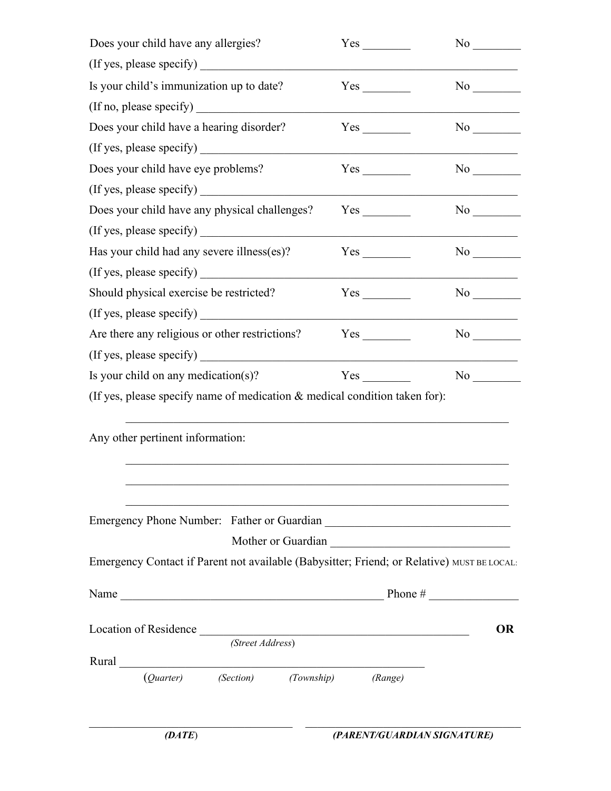| Does your child have any allergies?                                                                                                                                                                                                                                                                                                                                                                           | Yes | $No \t$                                                                                                                                                                                                                        |
|---------------------------------------------------------------------------------------------------------------------------------------------------------------------------------------------------------------------------------------------------------------------------------------------------------------------------------------------------------------------------------------------------------------|-----|--------------------------------------------------------------------------------------------------------------------------------------------------------------------------------------------------------------------------------|
| (If yes, please specify)                                                                                                                                                                                                                                                                                                                                                                                      |     |                                                                                                                                                                                                                                |
| Is your child's immunization up to date?                                                                                                                                                                                                                                                                                                                                                                      | Yes | No                                                                                                                                                                                                                             |
| (If no, please specify)                                                                                                                                                                                                                                                                                                                                                                                       |     |                                                                                                                                                                                                                                |
| Does your child have a hearing disorder?                                                                                                                                                                                                                                                                                                                                                                      | Yes | No new years of the New York of the New York of the New York of the New York of the New York of the New York o                                                                                                                 |
| (If yes, please specify)                                                                                                                                                                                                                                                                                                                                                                                      |     |                                                                                                                                                                                                                                |
| Does your child have eye problems?                                                                                                                                                                                                                                                                                                                                                                            | Yes | No                                                                                                                                                                                                                             |
| (If yes, please specify)                                                                                                                                                                                                                                                                                                                                                                                      |     |                                                                                                                                                                                                                                |
| Does your child have any physical challenges?                                                                                                                                                                                                                                                                                                                                                                 |     |                                                                                                                                                                                                                                |
| (If yes, please specify)                                                                                                                                                                                                                                                                                                                                                                                      |     |                                                                                                                                                                                                                                |
| Has your child had any severe illness(es)?                                                                                                                                                                                                                                                                                                                                                                    |     | No                                                                                                                                                                                                                             |
|                                                                                                                                                                                                                                                                                                                                                                                                               |     |                                                                                                                                                                                                                                |
| Should physical exercise be restricted?                                                                                                                                                                                                                                                                                                                                                                       | Yes | No service that the service of the series of the series of the series of the series of the series of the series of the series of the series of the series of the series of the series of the series of the series of the serie |
| (If yes, please specify)                                                                                                                                                                                                                                                                                                                                                                                      |     |                                                                                                                                                                                                                                |
| Are there any religious or other restrictions?                                                                                                                                                                                                                                                                                                                                                                |     | No service that the service of the series of the series of the series of the series of the series of the series of the series of the series of the series of the series of the series of the series of the series of the serie |
| (If yes, please specify)                                                                                                                                                                                                                                                                                                                                                                                      |     |                                                                                                                                                                                                                                |
| Is your child on any medication(s)?                                                                                                                                                                                                                                                                                                                                                                           | Yes | No and the North States of the North States and the North States of the North States and the North States and Ta                                                                                                               |
| (If yes, please specify name of medication $\&$ medical condition taken for):                                                                                                                                                                                                                                                                                                                                 |     |                                                                                                                                                                                                                                |
| Any other pertinent information:                                                                                                                                                                                                                                                                                                                                                                              |     |                                                                                                                                                                                                                                |
|                                                                                                                                                                                                                                                                                                                                                                                                               |     |                                                                                                                                                                                                                                |
|                                                                                                                                                                                                                                                                                                                                                                                                               |     |                                                                                                                                                                                                                                |
| Emergency Contact if Parent not available (Babysitter; Friend; or Relative) MUST BE LOCAL:                                                                                                                                                                                                                                                                                                                    |     |                                                                                                                                                                                                                                |
| Name $\frac{1}{\sqrt{1-\frac{1}{2}}\sqrt{1-\frac{1}{2}}\sqrt{1-\frac{1}{2}}\sqrt{1-\frac{1}{2}}\sqrt{1-\frac{1}{2}}\sqrt{1-\frac{1}{2}}\sqrt{1-\frac{1}{2}}\sqrt{1-\frac{1}{2}}\sqrt{1-\frac{1}{2}}\sqrt{1-\frac{1}{2}}\sqrt{1-\frac{1}{2}}\sqrt{1-\frac{1}{2}}\sqrt{1-\frac{1}{2}}\sqrt{1-\frac{1}{2}}\sqrt{1-\frac{1}{2}}\sqrt{1-\frac{1}{2}}\sqrt{1-\frac{1}{2}}\sqrt{1-\frac{1}{2}}\sqrt{1-\frac{1}{2}}\$ |     |                                                                                                                                                                                                                                |
| Location of Residence (Street Address)                                                                                                                                                                                                                                                                                                                                                                        |     | <b>OR</b>                                                                                                                                                                                                                      |
|                                                                                                                                                                                                                                                                                                                                                                                                               |     |                                                                                                                                                                                                                                |
|                                                                                                                                                                                                                                                                                                                                                                                                               |     |                                                                                                                                                                                                                                |
| (Quarter) (Section) (Township) (Range)                                                                                                                                                                                                                                                                                                                                                                        |     |                                                                                                                                                                                                                                |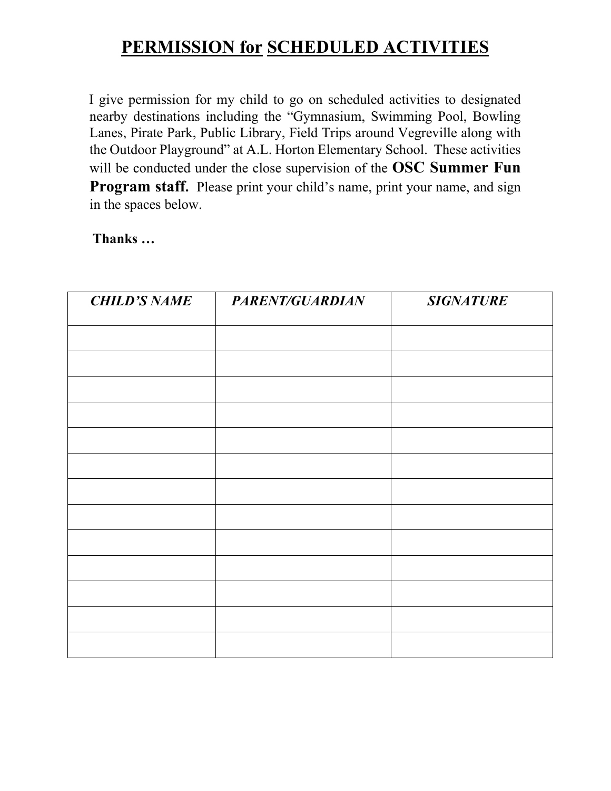## **PERMISSION for SCHEDULED ACTIVITIES**

I give permission for my child to go on scheduled activities to designated nearby destinations including the "Gymnasium, Swimming Pool, Bowling Lanes, Pirate Park, Public Library, Field Trips around Vegreville along with the Outdoor Playground" at A.L. Horton Elementary School. These activities will be conducted under the close supervision of the **OSC Summer Fun Program staff.** Please print your child's name, print your name, and sign in the spaces below.

**Thanks …** 

| <b>CHILD'S NAME</b> | PARENT/GUARDIAN | <b>SIGNATURE</b> |
|---------------------|-----------------|------------------|
|                     |                 |                  |
|                     |                 |                  |
|                     |                 |                  |
|                     |                 |                  |
|                     |                 |                  |
|                     |                 |                  |
|                     |                 |                  |
|                     |                 |                  |
|                     |                 |                  |
|                     |                 |                  |
|                     |                 |                  |
|                     |                 |                  |
|                     |                 |                  |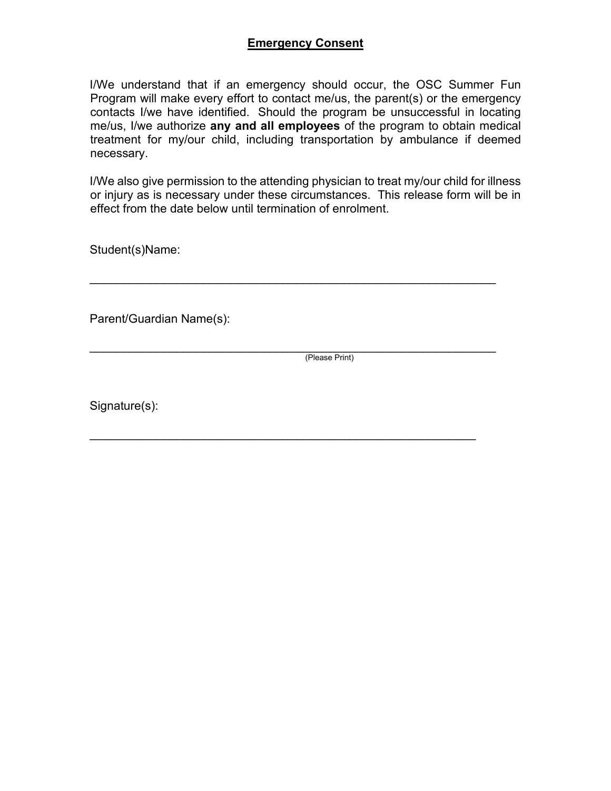## **Emergency Consent**

I/We understand that if an emergency should occur, the OSC Summer Fun Program will make every effort to contact me/us, the parent(s) or the emergency contacts I/we have identified. Should the program be unsuccessful in locating me/us, I/we authorize **any and all employees** of the program to obtain medical treatment for my/our child, including transportation by ambulance if deemed necessary.

I/We also give permission to the attending physician to treat my/our child for illness or injury as is necessary under these circumstances. This release form will be in effect from the date below until termination of enrolment.

\_\_\_\_\_\_\_\_\_\_\_\_\_\_\_\_\_\_\_\_\_\_\_\_\_\_\_\_\_\_\_\_\_\_\_\_\_\_\_\_\_\_\_\_\_\_\_\_\_\_\_\_\_\_\_\_\_\_\_\_\_

\_\_\_\_\_\_\_\_\_\_\_\_\_\_\_\_\_\_\_\_\_\_\_\_\_\_\_\_\_\_\_\_\_\_\_\_\_\_\_\_\_\_\_\_\_\_\_\_\_\_\_\_\_\_\_\_\_\_

Student(s)Name:

Parent/Guardian Name(s):

\_\_\_\_\_\_\_\_\_\_\_\_\_\_\_\_\_\_\_\_\_\_\_\_\_\_\_\_\_\_\_\_\_\_\_\_\_\_\_\_\_\_\_\_\_\_\_\_\_\_\_\_\_\_\_\_\_\_\_\_\_ (Please Print)

Signature(s):